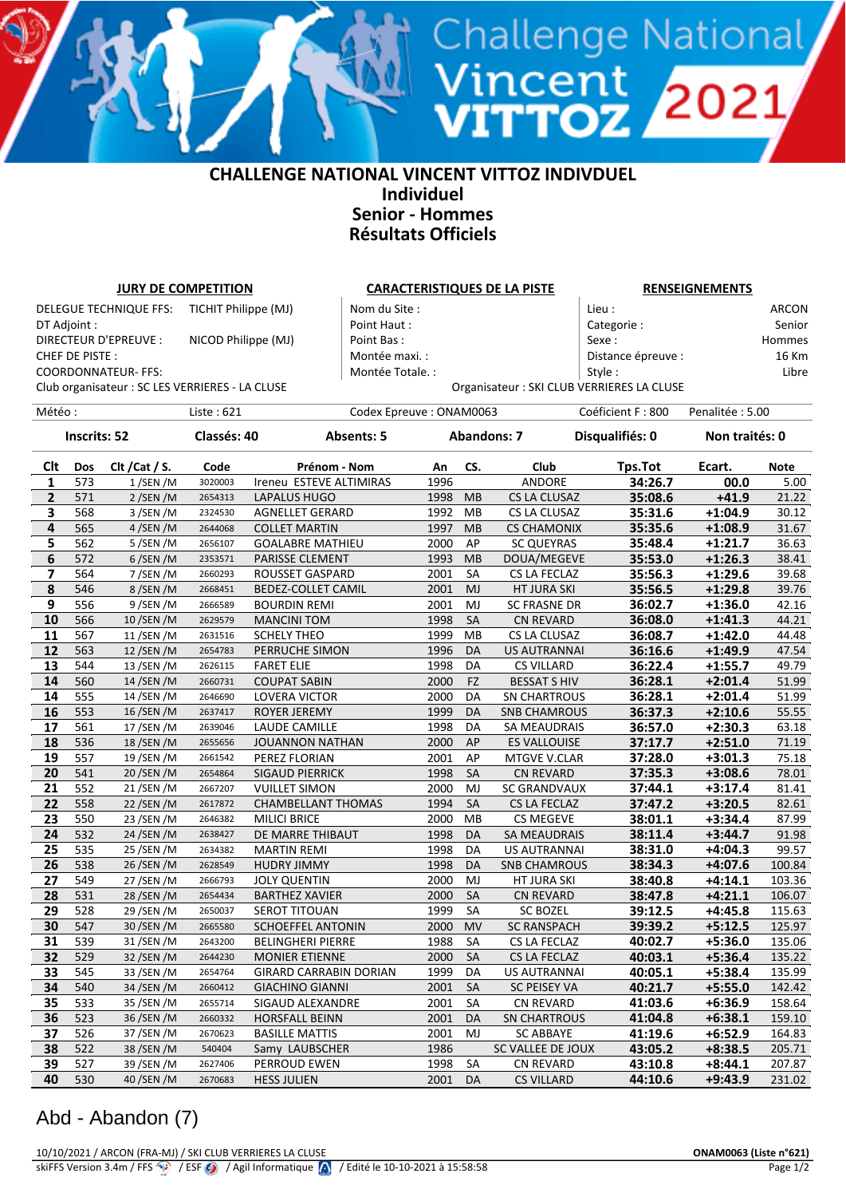## **CHALLENGE NATIONAL VINCENT VITTOZ INDIVDUEL Individuel Senior - Hommes Résultats Officiels**

<sup>Vincent</sup> 2021<br>VITTOZ 2021

| <b>JURY DE COMPETITION</b>                     |              |                                                 |              |                               | <b>CARACTERISTIQUES DE LA PISTE</b> |                    |           |                     | <b>RENSEIGNEMENTS</b>                      |           |                |  |
|------------------------------------------------|--------------|-------------------------------------------------|--------------|-------------------------------|-------------------------------------|--------------------|-----------|---------------------|--------------------------------------------|-----------|----------------|--|
| DELEGUE TECHNIQUE FFS:<br>TICHIT Philippe (MJ) |              |                                                 |              | Nom du Site :                 |                                     |                    |           | Lieu :              |                                            | ARCON     |                |  |
| DT Adjoint :                                   |              |                                                 |              |                               | Point Haut:                         |                    |           |                     | Categorie:                                 |           | Senior         |  |
| DIRECTEUR D'EPREUVE :                          |              |                                                 |              |                               | Point Bas:                          |                    |           |                     | Sexe:                                      |           | Hommes         |  |
| NICOD Philippe (MJ)<br>CHEF DE PISTE:          |              |                                                 |              |                               | Montée maxi. :                      |                    |           |                     | Distance épreuve :                         |           | 16 Km          |  |
| <b>COORDONNATEUR- FFS:</b>                     |              |                                                 |              |                               | Montée Totale. :                    |                    |           |                     | Style:                                     |           | Libre          |  |
|                                                |              | Club organisateur : SC LES VERRIERES - LA CLUSE |              |                               |                                     |                    |           |                     | Organisateur : SKI CLUB VERRIERES LA CLUSE |           |                |  |
|                                                |              |                                                 |              |                               |                                     |                    |           |                     |                                            |           |                |  |
| Météo:                                         |              |                                                 | Liste: $621$ |                               | Codex Epreuve: ONAM0063             |                    |           |                     | Coéficient F: 800<br>Penalitée: 5.00       |           |                |  |
|                                                |              |                                                 |              |                               |                                     | <b>Abandons: 7</b> |           |                     | Disqualifiés: 0                            |           | Non traités: 0 |  |
|                                                | Inscrits: 52 |                                                 | Classés: 40  |                               | Absents: 5                          |                    |           |                     |                                            |           |                |  |
| Clt                                            | Dos          | Clt / Cat / S.                                  | Code         | Prénom - Nom                  |                                     |                    | CS.       | Club                |                                            | Ecart.    | <b>Note</b>    |  |
| 1                                              | 573          | 1/SEN/M                                         | 3020003      | Ireneu ESTEVE ALTIMIRAS       |                                     | An<br>1996         |           | ANDORE              | <b>Tps.Tot</b><br>34:26.7                  | 00.0      | 5.00           |  |
| $\mathbf{2}$                                   | 571          | $2/$ SEN /M                                     | 2654313      | LAPALUS HUGO                  |                                     | 1998               | <b>MB</b> | CS LA CLUSAZ        | 35:08.6                                    | $+41.9$   | 21.22          |  |
| $\overline{\mathbf{3}}$                        | 568          | 3/SEN/M                                         | 2324530      | <b>AGNELLET GERARD</b>        |                                     | 1992               | MB        | CS LA CLUSAZ        | 35:31.6                                    | $+1:04.9$ | 30.12          |  |
| $\overline{\mathbf{4}}$                        | 565          | 4/SEN/M                                         | 2644068      | <b>COLLET MARTIN</b>          |                                     | 1997               | <b>MB</b> | <b>CS CHAMONIX</b>  | 35:35.6                                    | $+1:08.9$ | 31.67          |  |
| 5                                              | 562          | 5/SEN/M                                         | 2656107      | <b>GOALABRE MATHIEU</b>       |                                     | 2000               | AP        | <b>SC QUEYRAS</b>   | 35:48.4                                    | $+1:21.7$ | 36.63          |  |
| 6                                              | 572          | 6/SEN/M                                         | 2353571      | PARISSE CLEMENT               |                                     | 1993               | <b>MB</b> | DOUA/MEGEVE         | 35:53.0                                    | $+1:26.3$ | 38.41          |  |
| $\overline{\mathbf{z}}$                        | 564          | 7/SEN/M                                         | 2660293      | ROUSSET GASPARD               |                                     | 2001               | SA        | CS LA FECLAZ        | 35:56.3                                    | $+1:29.6$ | 39.68          |  |
| $\overline{\mathbf{8}}$                        | 546          | 8/SEN/M                                         | 2668451      | <b>BEDEZ-COLLET CAMIL</b>     |                                     | 2001               | MJ        | <b>HT JURA SKI</b>  | 35:56.5                                    | $+1:29.8$ | 39.76          |  |
| 9                                              | 556          | 9/SEN/M                                         | 2666589      | <b>BOURDIN REMI</b>           |                                     | 2001               | MJ        | <b>SC FRASNE DR</b> | 36:02.7                                    | $+1:36.0$ | 42.16          |  |
| 10                                             | 566          | 10/SEN/M                                        | 2629579      | <b>MANCINI TOM</b>            |                                     | 1998               | SA        | <b>CN REVARD</b>    | 36:08.0                                    | $+1:41.3$ | 44.21          |  |
| 11                                             | 567          | 11/SEN/M                                        | 2631516      | <b>SCHELY THEO</b>            |                                     | 1999               | MВ        | CS LA CLUSAZ        | 36:08.7                                    | $+1:42.0$ | 44.48          |  |
| 12                                             | 563          | 12 / SEN / M                                    | 2654783      | PERRUCHE SIMON                |                                     | 1996               | DA        | <b>US AUTRANNAI</b> | 36:16.6                                    | $+1:49.9$ | 47.54          |  |
| 13                                             | 544          | 13 / SEN / M                                    | 2626115      | <b>FARET ELIE</b>             |                                     | 1998               | DA        | <b>CS VILLARD</b>   | 36:22.4                                    | $+1:55.7$ | 49.79          |  |
| 14                                             | 560          | 14 / SEN / M                                    | 2660731      | <b>COUPAT SABIN</b>           |                                     | 2000               | FZ        | <b>BESSAT S HIV</b> | 36:28.1                                    | $+2:01.4$ | 51.99          |  |
| 14                                             | 555          | 14 / SEN / M                                    | 2646690      | <b>LOVERA VICTOR</b>          |                                     | 2000               | DA        | <b>SN CHARTROUS</b> | 36:28.1                                    | $+2:01.4$ | 51.99          |  |
| 16                                             | 553          | 16 / SEN / M                                    | 2637417      | <b>ROYER JEREMY</b>           |                                     | 1999               | DA        | <b>SNB CHAMROUS</b> | 36:37.3                                    | $+2:10.6$ | 55.55          |  |
| 17                                             | 561          | 17 / SEN / M                                    | 2639046      | LAUDE CAMILLE                 |                                     | 1998               | DA        | SA MEAUDRAIS        | 36:57.0                                    | $+2:30.3$ | 63.18          |  |
| 18                                             | 536          | 18 / SEN / M                                    | 2655656      | <b>JOUANNON NATHAN</b>        |                                     | 2000               | AP        | <b>ES VALLOUISE</b> | 37:17.7                                    | $+2:51.0$ | 71.19          |  |
| 19                                             | 557          | 19 / SEN / M                                    | 2661542      | PEREZ FLORIAN                 |                                     | 2001               | AP        | MTGVE V.CLAR        | 37:28.0                                    | $+3:01.3$ | 75.18          |  |
| 20                                             | 541          | 20 / SEN / M                                    | 2654864      | <b>SIGAUD PIERRICK</b>        |                                     | 1998               | SA        | <b>CN REVARD</b>    | 37:35.3                                    | $+3:08.6$ | 78.01          |  |
| 21                                             | 552          | 21/SEN/M                                        | 2667207      | <b>VUILLET SIMON</b>          |                                     | 2000               | MJ        | <b>SC GRANDVAUX</b> | 37:44.1                                    | $+3:17.4$ | 81.41          |  |
| 22                                             | 558          | 22 / SEN / M                                    | 2617872      | <b>CHAMBELLANT THOMAS</b>     |                                     | 1994               | SA        | CS LA FECLAZ        | 37:47.2                                    | $+3:20.5$ | 82.61          |  |
| 23                                             | 550          | 23 / SEN / M                                    | 2646382      | <b>MILICI BRICE</b>           |                                     | 2000               | MB        | CS MEGEVE           | 38:01.1                                    | $+3:34.4$ | 87.99          |  |
| 24                                             | 532          | 24 / SEN / M                                    | 2638427      | DE MARRE THIBAUT              |                                     | 1998               | DA        | <b>SA MEAUDRAIS</b> | 38:11.4                                    | $+3:44.7$ | 91.98          |  |
| 25                                             | 535          | 25 / SEN / M                                    | 2634382      | <b>MARTIN REMI</b>            |                                     | 1998               | DA        | <b>US AUTRANNAI</b> | 38:31.0                                    | $+4:04.3$ | 99.57          |  |
| 26                                             | 538          | 26 / SEN / M                                    | 2628549      | <b>HUDRY JIMMY</b>            |                                     | 1998               | DA        | <b>SNB CHAMROUS</b> | 38:34.3                                    | $+4:07.6$ | 100.84         |  |
| 27                                             | 549          | 27 / SEN / M                                    | 2666793      | <b>JOLY QUENTIN</b>           |                                     | 2000               | MJ        | HT JURA SKI         | 38:40.8                                    | $+4:14.1$ | 103.36         |  |
| 28                                             | 531          | 28 / SEN / M                                    | 2654434      | <b>BARTHEZ XAVIER</b>         |                                     | 2000               | SA        | <b>CN REVARD</b>    | 38:47.8                                    | $+4:21.1$ | 106.07         |  |
| 29                                             | 528          | 29 / SEN / M                                    | 2650037      | SEROT TITOUAN                 |                                     | 1999               | SA        | <b>SC BOZEL</b>     | 39:12.5                                    | $+4:45.8$ | 115.63         |  |
| 30                                             | 547          | 30 / SEN / M                                    | 2665580      | SCHOEFFEL ANTONIN             |                                     | 2000               | <b>MV</b> | <b>SC RANSPACH</b>  | 39:39.2                                    | $+5:12.5$ | 125.97         |  |
| 31                                             | 539          | 31/SEN/M                                        | 2643200      | <b>BELINGHERI PIERRE</b>      |                                     | 1988               | SA        | CS LA FECLAZ        | 40:02.7                                    | $+5:36.0$ | 135.06         |  |
| 32                                             | 529          | 32/SEN/M                                        | 2644230      | <b>MONIER ETIENNE</b>         |                                     | 2000               | <b>SA</b> | CS LA FECLAZ        | 40:03.1                                    | $+5:36.4$ | 135.22         |  |
| 33                                             | 545          | 33 / SEN / M                                    | 2654764      | <b>GIRARD CARRABIN DORIAN</b> |                                     | 1999               | DA        | <b>US AUTRANNAI</b> | 40:05.1                                    | $+5:38.4$ | 135.99         |  |
| 34                                             | 540          | 34 / SEN / M                                    | 2660412      | <b>GIACHINO GIANNI</b>        |                                     | 2001               | SA        | SC PEISEY VA        | 40:21.7                                    | $+5:55.0$ | 142.42         |  |
| 35                                             | 533          | 35 / SEN / M                                    | 2655714      | SIGAUD ALEXANDRE              |                                     | 2001               | SA        | CN REVARD           | 41:03.6                                    | $+6:36.9$ | 158.64         |  |
| 36                                             | 523          | 36 / SEN / M                                    | 2660332      | <b>HORSFALL BEINN</b>         |                                     | 2001               | DA        | <b>SN CHARTROUS</b> | 41:04.8                                    | $+6:38.1$ | 159.10         |  |
| 37                                             | 526          | 37 / SEN / M                                    | 2670623      | <b>BASILLE MATTIS</b>         |                                     | 2001               | MJ        | <b>SC ABBAYE</b>    | 41:19.6                                    | $+6:52.9$ | 164.83         |  |
| 38                                             | 522          | 38 / SEN / M                                    | 540404       | Samy LAUBSCHER                |                                     | 1986               |           | SC VALLEE DE JOUX   | 43:05.2                                    | $+8:38.5$ | 205.71         |  |
| 39                                             | 527          | 39 / SEN / M                                    | 2627406      | PERROUD EWEN                  |                                     | 1998               | SA        | <b>CN REVARD</b>    | 43:10.8                                    | $+8:44.1$ | 207.87         |  |
| 40                                             | 530          | 40 / SEN / M                                    | 2670683      | <b>HESS JULIEN</b>            |                                     | 2001               | DA        | <b>CS VILLARD</b>   | 44:10.6                                    | $+9:43.9$ | 231.02         |  |

## Abd - Abandon (7)